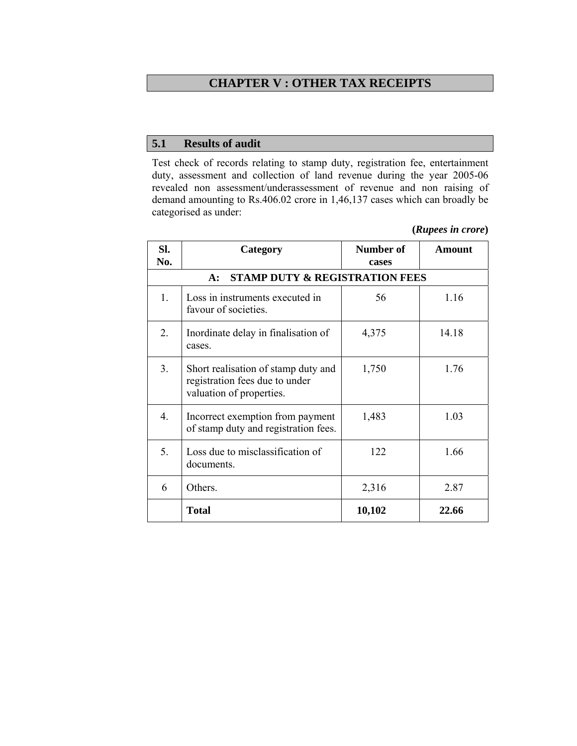# **CHAPTER V : OTHER TAX RECEIPTS**

# **5.1 Results of audit**

Test check of records relating to stamp duty, registration fee, entertainment duty, assessment and collection of land revenue during the year 2005-06 revealed non assessment/underassessment of revenue and non raising of demand amounting to Rs.406.02 crore in 1,46,137 cases which can broadly be categorised as under:

| SI.<br>No.                                         | Category                                                                                          | Number of<br>cases | Amount |  |
|----------------------------------------------------|---------------------------------------------------------------------------------------------------|--------------------|--------|--|
| <b>STAMP DUTY &amp; REGISTRATION FEES</b><br>$A$ : |                                                                                                   |                    |        |  |
| 1.                                                 | Loss in instruments executed in<br>favour of societies.                                           | 56                 | 1.16   |  |
| 2.                                                 | Inordinate delay in finalisation of<br>cases.                                                     | 4,375              | 14.18  |  |
| 3 <sub>1</sub>                                     | Short realisation of stamp duty and<br>registration fees due to under<br>valuation of properties. | 1,750              | 1.76   |  |
| 4.                                                 | Incorrect exemption from payment<br>of stamp duty and registration fees.                          | 1,483              | 1.03   |  |
| 5.                                                 | Loss due to misclassification of<br>documents.                                                    | 122                | 1.66   |  |
| 6                                                  | Others.                                                                                           | 2,316              | 2.87   |  |
|                                                    | <b>Total</b>                                                                                      | 10,102             | 22.66  |  |

**(***Rupees in crore***)**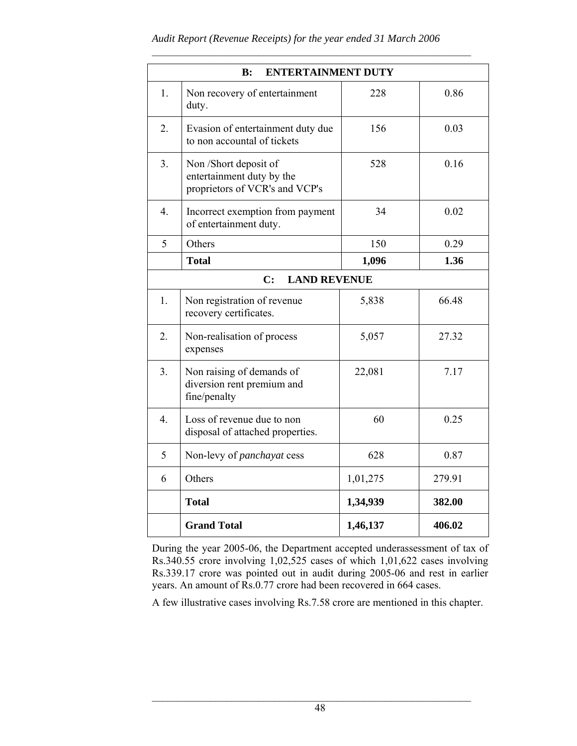$\mathcal{L}_\text{max}$  and the contract of the contract of the contract of the contract of the contract of the contract of

| <b>ENTERTAINMENT DUTY</b><br>B: |                                                                                      |          |        |  |
|---------------------------------|--------------------------------------------------------------------------------------|----------|--------|--|
| 1.                              | Non recovery of entertainment<br>duty.                                               | 228      | 0.86   |  |
| 2.                              | Evasion of entertainment duty due<br>to non accountal of tickets                     | 156      | 0.03   |  |
| 3.                              | Non /Short deposit of<br>entertainment duty by the<br>proprietors of VCR's and VCP's | 528      | 0.16   |  |
| $\overline{4}$ .                | Incorrect exemption from payment<br>of entertainment duty.                           | 34       | 0.02   |  |
| 5                               | Others                                                                               | 150      | 0.29   |  |
|                                 | <b>Total</b>                                                                         | 1,096    | 1.36   |  |
| <b>LAND REVENUE</b><br>C:       |                                                                                      |          |        |  |
| 1.                              | Non registration of revenue<br>recovery certificates.                                | 5,838    | 66.48  |  |
| 2.                              | Non-realisation of process<br>expenses                                               | 5,057    | 27.32  |  |
| 3.                              | Non raising of demands of<br>diversion rent premium and<br>fine/penalty              | 22,081   | 7.17   |  |
| $\overline{4}$ .                | Loss of revenue due to non<br>disposal of attached properties.                       | 60       | 0.25   |  |
| 5                               | Non-levy of <i>panchayat</i> cess                                                    | 628      | 0.87   |  |
| 6                               | Others                                                                               | 1,01,275 | 279.91 |  |
|                                 | <b>Total</b>                                                                         | 1,34,939 | 382.00 |  |
|                                 | <b>Grand Total</b>                                                                   | 1,46,137 | 406.02 |  |

During the year 2005-06, the Department accepted underassessment of tax of Rs.340.55 crore involving 1,02,525 cases of which 1,01,622 cases involving Rs.339.17 crore was pointed out in audit during 2005-06 and rest in earlier years. An amount of Rs.0.77 crore had been recovered in 664 cases.

A few illustrative cases involving Rs.7.58 crore are mentioned in this chapter.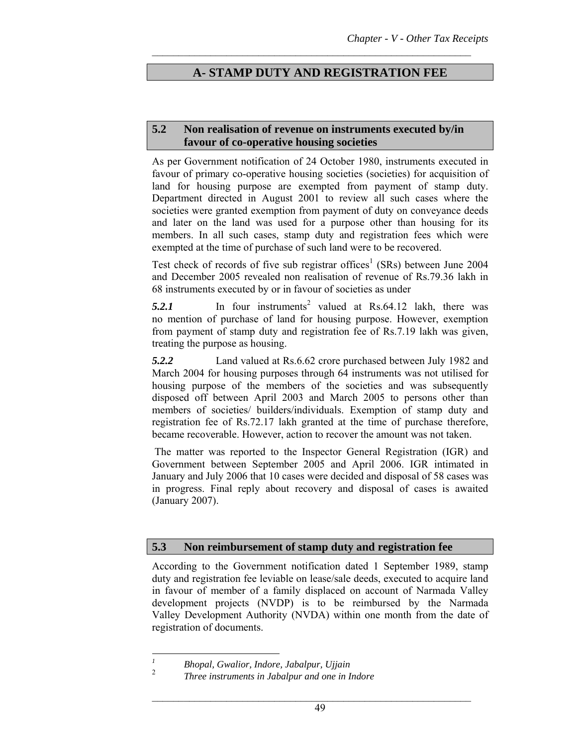# **A- STAMP DUTY AND REGISTRATION FEE**

 $\mathcal{L}_\text{max}$  and the contract of the contract of the contract of the contract of the contract of the contract of

#### **5.2 Non realisation of revenue on instruments executed by/in favour of co-operative housing societies**

As per Government notification of 24 October 1980, instruments executed in favour of primary co-operative housing societies (societies) for acquisition of land for housing purpose are exempted from payment of stamp duty. Department directed in August 2001 to review all such cases where the societies were granted exemption from payment of duty on conveyance deeds and later on the land was used for a purpose other than housing for its members. In all such cases, stamp duty and registration fees which were exempted at the time of purchase of such land were to be recovered.

Test check of records of five sub registrar offices<sup>1</sup> (SRs) between June 2004 and December 2005 revealed non realisation of revenue of Rs.79.36 lakh in 68 instruments executed by or in favour of societies as under

 $5.2.1$  In four instruments<sup>2</sup> valued at Rs.64.12 lakh, there was no mention of purchase of land for housing purpose. However, exemption from payment of stamp duty and registration fee of Rs.7.19 lakh was given, treating the purpose as housing.

*5.2.2* Land valued at Rs.6.62 crore purchased between July 1982 and March 2004 for housing purposes through 64 instruments was not utilised for housing purpose of the members of the societies and was subsequently disposed off between April 2003 and March 2005 to persons other than members of societies/ builders/individuals. Exemption of stamp duty and registration fee of Rs.72.17 lakh granted at the time of purchase therefore, became recoverable. However, action to recover the amount was not taken.

 The matter was reported to the Inspector General Registration (IGR) and Government between September 2005 and April 2006. IGR intimated in January and July 2006 that 10 cases were decided and disposal of 58 cases was in progress. Final reply about recovery and disposal of cases is awaited (January 2007).

#### **5.3 Non reimbursement of stamp duty and registration fee**

According to the Government notification dated 1 September 1989, stamp duty and registration fee leviable on lease/sale deeds, executed to acquire land in favour of member of a family displaced on account of Narmada Valley development projects (NVDP) is to be reimbursed by the Narmada Valley Development Authority (NVDA) within one month from the date of registration of documents.

 *1 Bhopal, Gwalior, Indore, Jabalpur, Ujjain* 

 $\overline{2}$ *Three instruments in Jabalpur and one in Indore*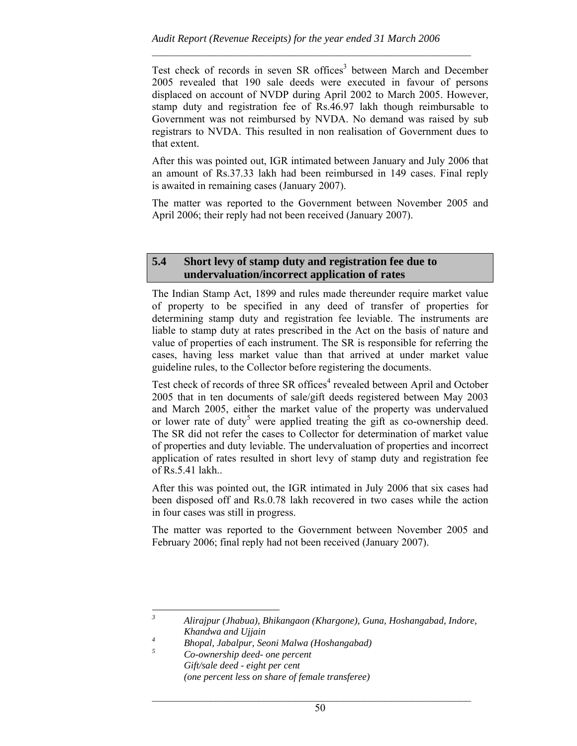$\mathcal{L}_\text{max}$  and the contract of the contract of the contract of the contract of the contract of the contract of

Test check of records in seven SR offices<sup>3</sup> between March and December 2005 revealed that 190 sale deeds were executed in favour of persons displaced on account of NVDP during April 2002 to March 2005. However, stamp duty and registration fee of Rs.46.97 lakh though reimbursable to Government was not reimbursed by NVDA. No demand was raised by sub registrars to NVDA. This resulted in non realisation of Government dues to that extent.

After this was pointed out, IGR intimated between January and July 2006 that an amount of Rs.37.33 lakh had been reimbursed in 149 cases. Final reply is awaited in remaining cases (January 2007).

The matter was reported to the Government between November 2005 and April 2006; their reply had not been received (January 2007).

### **5.4 Short levy of stamp duty and registration fee due to undervaluation/incorrect application of rates**

The Indian Stamp Act, 1899 and rules made thereunder require market value of property to be specified in any deed of transfer of properties for determining stamp duty and registration fee leviable. The instruments are liable to stamp duty at rates prescribed in the Act on the basis of nature and value of properties of each instrument. The SR is responsible for referring the cases, having less market value than that arrived at under market value guideline rules, to the Collector before registering the documents.

Test check of records of three SR offices<sup>4</sup> revealed between April and October 2005 that in ten documents of sale/gift deeds registered between May 2003 and March 2005, either the market value of the property was undervalued or lower rate of duty<sup>5</sup> were applied treating the gift as co-ownership deed. The SR did not refer the cases to Collector for determination of market value of properties and duty leviable. The undervaluation of properties and incorrect application of rates resulted in short levy of stamp duty and registration fee of Rs.5.41 lakh..

After this was pointed out, the IGR intimated in July 2006 that six cases had been disposed off and Rs.0.78 lakh recovered in two cases while the action in four cases was still in progress.

The matter was reported to the Government between November 2005 and February 2006; final reply had not been received (January 2007).

*5 Co-ownership deed- one percent Gift/sale deed - eight per cent (one percent less on share of female transferee)* 

 *3 Alirajpur (Jhabua), Bhikangaon (Khargone), Guna, Hoshangabad, Indore, Khandwa and Ujjain 4*

*Bhopal, Jabalpur, Seoni Malwa (Hoshangabad)*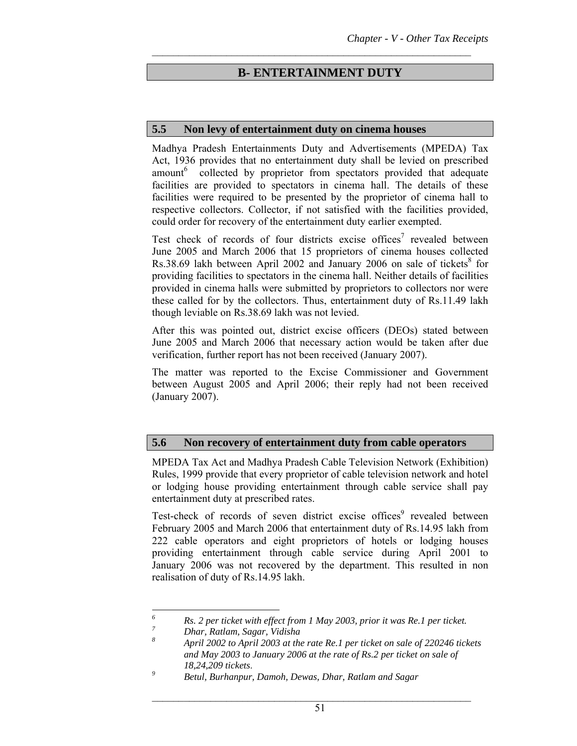# **B- ENTERTAINMENT DUTY**

 $\mathcal{L}_\text{max}$  and the contract of the contract of the contract of the contract of the contract of the contract of

#### **5.5 Non levy of entertainment duty on cinema houses**

Madhya Pradesh Entertainments Duty and Advertisements (MPEDA) Tax Act, 1936 provides that no entertainment duty shall be levied on prescribed amount<sup>6</sup> collected by proprietor from spectators provided that adequate facilities are provided to spectators in cinema hall. The details of these facilities were required to be presented by the proprietor of cinema hall to respective collectors. Collector, if not satisfied with the facilities provided, could order for recovery of the entertainment duty earlier exempted.

Test check of records of four districts excise offices<sup>7</sup> revealed between June 2005 and March 2006 that 15 proprietors of cinema houses collected Rs.38.69 lakh between April 2002 and January 2006 on sale of tickets<sup>8</sup> for providing facilities to spectators in the cinema hall. Neither details of facilities provided in cinema halls were submitted by proprietors to collectors nor were these called for by the collectors. Thus, entertainment duty of Rs.11.49 lakh though leviable on Rs.38.69 lakh was not levied.

After this was pointed out, district excise officers (DEOs) stated between June 2005 and March 2006 that necessary action would be taken after due verification, further report has not been received (January 2007).

The matter was reported to the Excise Commissioner and Government between August 2005 and April 2006; their reply had not been received (January 2007).

#### **5.6 Non recovery of entertainment duty from cable operators**

MPEDA Tax Act and Madhya Pradesh Cable Television Network (Exhibition) Rules, 1999 provide that every proprietor of cable television network and hotel or lodging house providing entertainment through cable service shall pay entertainment duty at prescribed rates.

Test-check of records of seven district excise offices<sup>9</sup> revealed between February 2005 and March 2006 that entertainment duty of Rs.14.95 lakh from 222 cable operators and eight proprietors of hotels or lodging houses providing entertainment through cable service during April 2001 to January 2006 was not recovered by the department. This resulted in non realisation of duty of Rs.14.95 lakh.

 *6 <sup>6</sup>* Rs. 2 per ticket with effect from 1 May 2003, prior it was Re.1 per ticket.

*Dhar, Ratlam, Sagar, Vidisha* 

*<sup>8</sup> April 2002 to April 2003 at the rate Re.1 per ticket on sale of 220246 tickets and May 2003 to January 2006 at the rate of Rs.2 per ticket on sale of 18,24,209 tickets*. *<sup>9</sup>*

*Betul, Burhanpur, Damoh, Dewas, Dhar, Ratlam and Sagar*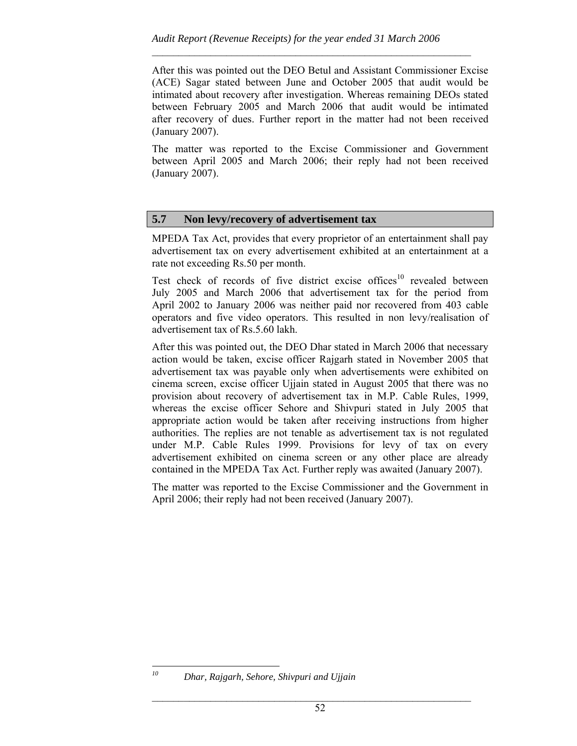After this was pointed out the DEO Betul and Assistant Commissioner Excise (ACE) Sagar stated between June and October 2005 that audit would be intimated about recovery after investigation. Whereas remaining DEOs stated between February 2005 and March 2006 that audit would be intimated after recovery of dues. Further report in the matter had not been received (January 2007).

 $\mathcal{L}_\text{max}$  and the contract of the contract of the contract of the contract of the contract of the contract of

The matter was reported to the Excise Commissioner and Government between April 2005 and March 2006; their reply had not been received (January 2007).

## **5.7 Non levy/recovery of advertisement tax**

MPEDA Tax Act, provides that every proprietor of an entertainment shall pay advertisement tax on every advertisement exhibited at an entertainment at a rate not exceeding Rs.50 per month.

Test check of records of five district excise offices<sup>10</sup> revealed between July 2005 and March 2006 that advertisement tax for the period from April 2002 to January 2006 was neither paid nor recovered from 403 cable operators and five video operators. This resulted in non levy/realisation of advertisement tax of Rs.5.60 lakh.

After this was pointed out, the DEO Dhar stated in March 2006 that necessary action would be taken, excise officer Rajgarh stated in November 2005 that advertisement tax was payable only when advertisements were exhibited on cinema screen, excise officer Ujjain stated in August 2005 that there was no provision about recovery of advertisement tax in M.P. Cable Rules, 1999, whereas the excise officer Sehore and Shivpuri stated in July 2005 that appropriate action would be taken after receiving instructions from higher authorities. The replies are not tenable as advertisement tax is not regulated under M.P. Cable Rules 1999. Provisions for levy of tax on every advertisement exhibited on cinema screen or any other place are already contained in the MPEDA Tax Act. Further reply was awaited (January 2007).

The matter was reported to the Excise Commissioner and the Government in April 2006; their reply had not been received (January 2007).

 $10<sup>10</sup>$ 

*<sup>10</sup> Dhar, Rajgarh, Sehore, Shivpuri and Ujjain*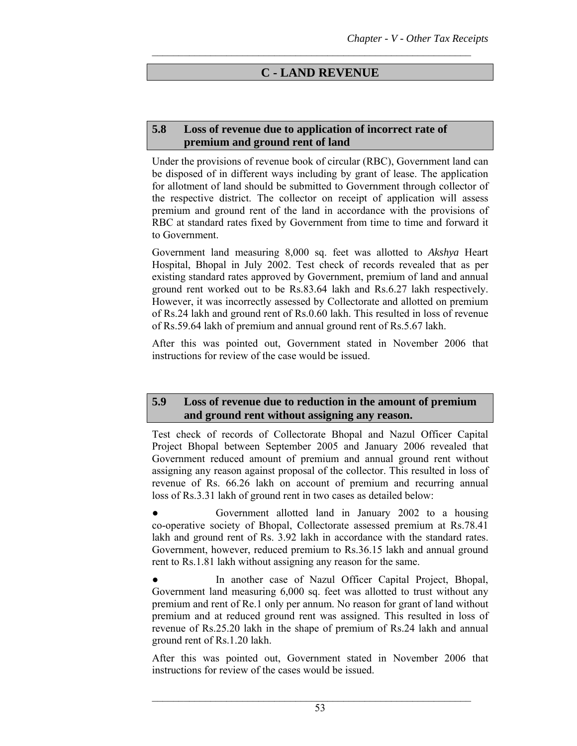# **C - LAND REVENUE**

 $\mathcal{L}_\text{max}$  and the contract of the contract of the contract of the contract of the contract of the contract of

### **5.8 Loss of revenue due to application of incorrect rate of premium and ground rent of land**

Under the provisions of revenue book of circular (RBC), Government land can be disposed of in different ways including by grant of lease. The application for allotment of land should be submitted to Government through collector of the respective district. The collector on receipt of application will assess premium and ground rent of the land in accordance with the provisions of RBC at standard rates fixed by Government from time to time and forward it to Government.

Government land measuring 8,000 sq. feet was allotted to *Akshya* Heart Hospital, Bhopal in July 2002. Test check of records revealed that as per existing standard rates approved by Government, premium of land and annual ground rent worked out to be Rs.83.64 lakh and Rs.6.27 lakh respectively. However, it was incorrectly assessed by Collectorate and allotted on premium of Rs.24 lakh and ground rent of Rs.0.60 lakh. This resulted in loss of revenue of Rs.59.64 lakh of premium and annual ground rent of Rs.5.67 lakh.

After this was pointed out, Government stated in November 2006 that instructions for review of the case would be issued.

### **5.9 Loss of revenue due to reduction in the amount of premium and ground rent without assigning any reason.**

Test check of records of Collectorate Bhopal and Nazul Officer Capital Project Bhopal between September 2005 and January 2006 revealed that Government reduced amount of premium and annual ground rent without assigning any reason against proposal of the collector. This resulted in loss of revenue of Rs. 66.26 lakh on account of premium and recurring annual loss of Rs.3.31 lakh of ground rent in two cases as detailed below:

Government allotted land in January 2002 to a housing co-operative society of Bhopal, Collectorate assessed premium at Rs.78.41 lakh and ground rent of Rs. 3.92 lakh in accordance with the standard rates. Government, however, reduced premium to Rs.36.15 lakh and annual ground rent to Rs.1.81 lakh without assigning any reason for the same.

In another case of Nazul Officer Capital Project, Bhopal, Government land measuring 6,000 sq. feet was allotted to trust without any premium and rent of Re.1 only per annum. No reason for grant of land without premium and at reduced ground rent was assigned. This resulted in loss of revenue of Rs.25.20 lakh in the shape of premium of Rs.24 lakh and annual ground rent of Rs.1.20 lakh.

After this was pointed out, Government stated in November 2006 that instructions for review of the cases would be issued.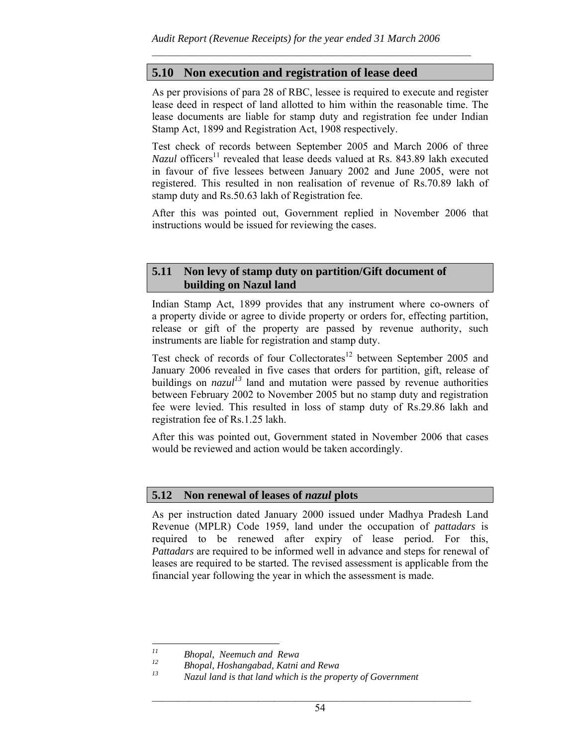$\mathcal{L}_\text{max}$  and the contract of the contract of the contract of the contract of the contract of the contract of

# **5.10 Non execution and registration of lease deed**

As per provisions of para 28 of RBC, lessee is required to execute and register lease deed in respect of land allotted to him within the reasonable time. The lease documents are liable for stamp duty and registration fee under Indian Stamp Act, 1899 and Registration Act, 1908 respectively.

Test check of records between September 2005 and March 2006 of three *Nazul* officers<sup>11</sup> revealed that lease deeds valued at Rs. 843.89 lakh executed in favour of five lessees between January 2002 and June 2005, were not registered. This resulted in non realisation of revenue of Rs.70.89 lakh of stamp duty and Rs.50.63 lakh of Registration fee.

After this was pointed out, Government replied in November 2006 that instructions would be issued for reviewing the cases.

### **5.11 Non levy of stamp duty on partition/Gift document of building on Nazul land**

Indian Stamp Act, 1899 provides that any instrument where co-owners of a property divide or agree to divide property or orders for, effecting partition, release or gift of the property are passed by revenue authority, such instruments are liable for registration and stamp duty.

Test check of records of four Collectorates<sup>12</sup> between September 2005 and January 2006 revealed in five cases that orders for partition, gift, release of buildings on  $nazul<sup>13</sup>$  land and mutation were passed by revenue authorities between February 2002 to November 2005 but no stamp duty and registration fee were levied. This resulted in loss of stamp duty of Rs.29.86 lakh and registration fee of Rs.1.25 lakh.

After this was pointed out, Government stated in November 2006 that cases would be reviewed and action would be taken accordingly.

#### **5.12 Non renewal of leases of** *nazul* **plots**

As per instruction dated January 2000 issued under Madhya Pradesh Land Revenue (MPLR) Code 1959, land under the occupation of *pattadars* is required to be renewed after expiry of lease period. For this, *Pattadars* are required to be informed well in advance and steps for renewal of leases are required to be started. The revised assessment is applicable from the financial year following the year in which the assessment is made.

 $11$ *11 Bhopal, Neemuch and Rewa* 

*<sup>12</sup> Bhopal, Hoshangabad, Katni and Rewa* 

*<sup>13</sup> Nazul land is that land which is the property of Government*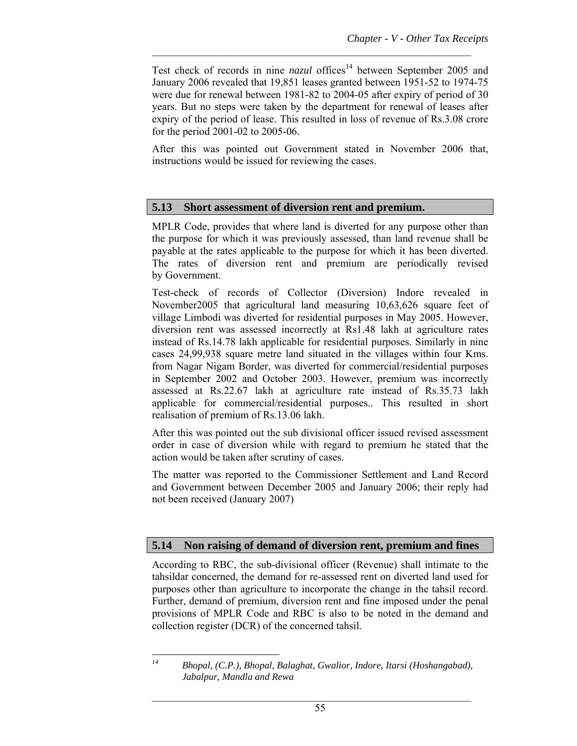Test check of records in nine *nazul* offices<sup>14</sup> between September 2005 and January 2006 revealed that 19,851 leases granted between 1951-52 to 1974-75 were due for renewal between 1981-82 to 2004-05 after expiry of period of 30 years. But no steps were taken by the department for renewal of leases after expiry of the period of lease. This resulted in loss of revenue of Rs.3.08 crore for the period 2001-02 to 2005-06.

 $\mathcal{L}_\text{max}$  and the contract of the contract of the contract of the contract of the contract of the contract of

After this was pointed out Government stated in November 2006 that, instructions would be issued for reviewing the cases.

### **5.13 Short assessment of diversion rent and premium.**

MPLR Code, provides that where land is diverted for any purpose other than the purpose for which it was previously assessed, than land revenue shall be payable at the rates applicable to the purpose for which it has been diverted. The rates of diversion rent and premium are periodically revised by Government.

Test-check of records of Collector (Diversion) Indore revealed in November2005 that agricultural land measuring 10,63,626 square feet of village Limbodi was diverted for residential purposes in May 2005. However, diversion rent was assessed incorrectly at Rs1.48 lakh at agriculture rates instead of Rs.14.78 lakh applicable for residential purposes. Similarly in nine cases 24,99,938 square metre land situated in the villages within four Kms. from Nagar Nigam Border, was diverted for commercial/residential purposes in September 2002 and October 2003. However, premium was incorrectly assessed at Rs.22.67 lakh at agriculture rate instead of Rs.35.73 lakh applicable for commercial/residential purposes.. This resulted in short realisation of premium of Rs.13.06 lakh.

After this was pointed out the sub divisional officer issued revised assessment order in case of diversion while with regard to premium he stated that the action would be taken after scrutiny of cases.

The matter was reported to the Commissioner Settlement and Land Record and Government between December 2005 and January 2006; their reply had not been received (January 2007)

## **5.14 Non raising of demand of diversion rent, premium and fines**

According to RBC, the sub-divisional officer (Revenue) shall intimate to the tahsildar concerned, the demand for re-assessed rent on diverted land used for purposes other than agriculture to incorporate the change in the tahsil record. Further, demand of premium, diversion rent and fine imposed under the penal provisions of MPLR Code and RBC is also to be noted in the demand and collection register (DCR) of the concerned tahsil.

 $l4$ 

*<sup>14</sup> Bhopal, (C.P.), Bhopal, Balaghat, Gwalior, Indore, Itarsi (Hoshangabad), Jabalpur, Mandla and Rewa*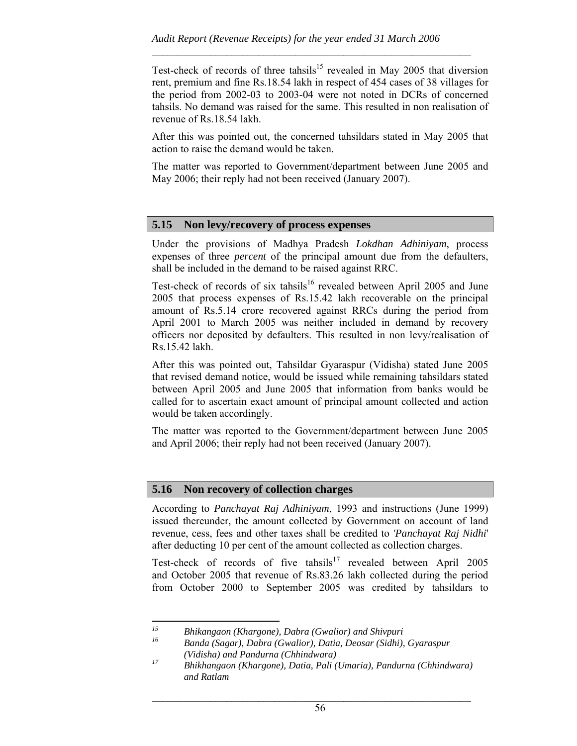Test-check of records of three tahsils<sup>15</sup> revealed in May 2005 that diversion rent, premium and fine Rs.18.54 lakh in respect of 454 cases of 38 villages for the period from 2002-03 to 2003-04 were not noted in DCRs of concerned tahsils. No demand was raised for the same. This resulted in non realisation of revenue of Rs.18.54 lakh.

 $\mathcal{L}_\text{max}$  and the contract of the contract of the contract of the contract of the contract of the contract of

After this was pointed out, the concerned tahsildars stated in May 2005 that action to raise the demand would be taken.

The matter was reported to Government/department between June 2005 and May 2006; their reply had not been received (January 2007).

#### **5.15 Non levy/recovery of process expenses**

Under the provisions of Madhya Pradesh *Lokdhan Adhiniyam*, process expenses of three *percent* of the principal amount due from the defaulters, shall be included in the demand to be raised against RRC.

Test-check of records of six tahsils<sup>16</sup> revealed between April 2005 and June 2005 that process expenses of Rs.15.42 lakh recoverable on the principal amount of Rs.5.14 crore recovered against RRCs during the period from April 2001 to March 2005 was neither included in demand by recovery officers nor deposited by defaulters. This resulted in non levy/realisation of Rs.15.42 lakh.

After this was pointed out, Tahsildar Gyaraspur (Vidisha) stated June 2005 that revised demand notice, would be issued while remaining tahsildars stated between April 2005 and June 2005 that information from banks would be called for to ascertain exact amount of principal amount collected and action would be taken accordingly.

The matter was reported to the Government/department between June 2005 and April 2006; their reply had not been received (January 2007).

#### **5.16 Non recovery of collection charges**

According to *Panchayat Raj Adhiniyam*, 1993 and instructions (June 1999) issued thereunder, the amount collected by Government on account of land revenue, cess, fees and other taxes shall be credited to *'Panchayat Raj Nidhi*' after deducting 10 per cent of the amount collected as collection charges.

Test-check of records of five tahsils<sup>17</sup> revealed between April 2005 and October 2005 that revenue of Rs.83.26 lakh collected during the period from October 2000 to September 2005 was credited by tahsildars to

*16 Banda (Sagar), Dabra (Gwalior), Datia, Deosar (Sidhi), Gyaraspur (Vidisha) and Pandurna (Chhindwara)* 

 $15\,$ *15 Bhikangaon (Khargone), Dabra (Gwalior) and Shivpuri* 

*<sup>17</sup> Bhikhangaon (Khargone), Datia, Pali (Umaria), Pandurna (Chhindwara) and Ratlam*